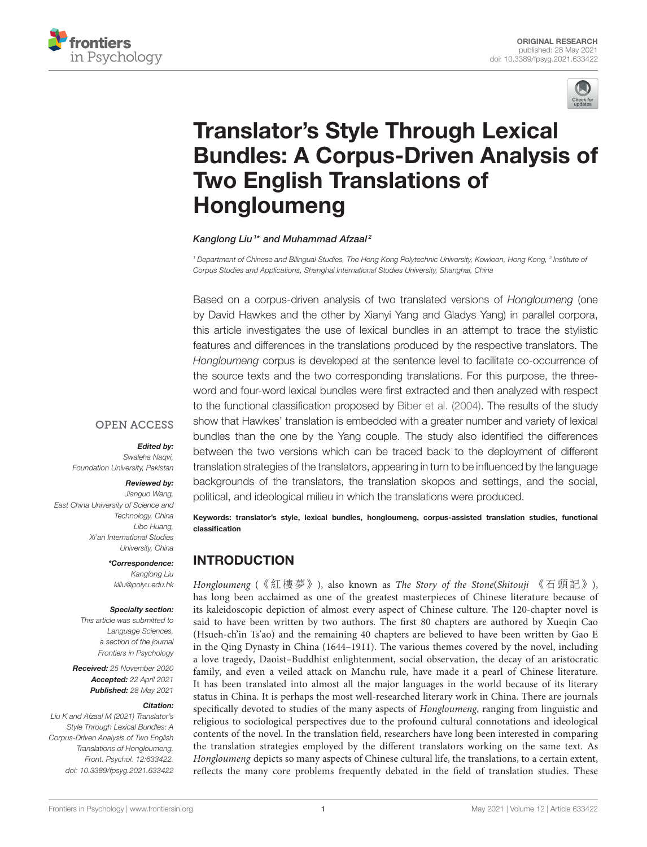



# Translator's Style Through Lexical [Bundles: A Corpus-Driven Analysis of](https://www.frontiersin.org/articles/10.3389/fpsyg.2021.633422/full) Two English Translations of Hongloumeng

#### Kanglong Liu<sup>1\*</sup> and Muhammad Afzaal<sup>2</sup>

*<sup>1</sup> Department of Chinese and Bilingual Studies, The Hong Kong Polytechnic University, Kowloon, Hong Kong, <sup>2</sup> Institute of Corpus Studies and Applications, Shanghai International Studies University, Shanghai, China*

Based on a corpus-driven analysis of two translated versions of *Hongloumeng* (one by David Hawkes and the other by Xianyi Yang and Gladys Yang) in parallel corpora, this article investigates the use of lexical bundles in an attempt to trace the stylistic features and differences in the translations produced by the respective translators. The *Hongloumeng* corpus is developed at the sentence level to facilitate co-occurrence of the source texts and the two corresponding translations. For this purpose, the threeword and four-word lexical bundles were first extracted and then analyzed with respect to the functional classification proposed by [Biber et al. \(2004\)](#page-9-0). The results of the study show that Hawkes' translation is embedded with a greater number and variety of lexical bundles than the one by the Yang couple. The study also identified the differences between the two versions which can be traced back to the deployment of different translation strategies of the translators, appearing in turn to be influenced by the language backgrounds of the translators, the translation skopos and settings, and the social, political, and ideological milieu in which the translations were produced.

Keywords: translator's style, lexical bundles, hongloumeng, corpus-assisted translation studies, functional classification

# INTRODUCTION

Hongloumeng (《紅樓夢》), also known as The Story of the Stone(Shitouji 《石頭記》), has long been acclaimed as one of the greatest masterpieces of Chinese literature because of its kaleidoscopic depiction of almost every aspect of Chinese culture. The 120-chapter novel is said to have been written by two authors. The first 80 chapters are authored by Xueqin Cao (Hsueh-ch'in Ts'ao) and the remaining 40 chapters are believed to have been written by Gao E in the Qing Dynasty in China (1644–1911). The various themes covered by the novel, including a love tragedy, Daoist–Buddhist enlightenment, social observation, the decay of an aristocratic family, and even a veiled attack on Manchu rule, have made it a pearl of Chinese literature. It has been translated into almost all the major languages in the world because of its literary status in China. It is perhaps the most well-researched literary work in China. There are journals specifically devoted to studies of the many aspects of Hongloumeng, ranging from linguistic and religious to sociological perspectives due to the profound cultural connotations and ideological contents of the novel. In the translation field, researchers have long been interested in comparing the translation strategies employed by the different translators working on the same text. As Hongloumeng depicts so many aspects of Chinese cultural life, the translations, to a certain extent, reflects the many core problems frequently debated in the field of translation studies. These

**OPEN ACCESS** 

#### Edited by:

*Swaleha Naqvi, Foundation University, Pakistan*

## Reviewed by:

*Jianguo Wang, East China University of Science and Technology, China Libo Huang, Xi'an International Studies University, China*

> \*Correspondence: *Kanglong Liu [klliu@polyu.edu.hk](mailto:klliu@polyu.edu.hk)*

#### Specialty section:

*This article was submitted to Language Sciences, a section of the journal Frontiers in Psychology*

Received: *25 November 2020* Accepted: *22 April 2021* Published: *28 May 2021*

#### Citation:

*Liu K and Afzaal M (2021) Translator's Style Through Lexical Bundles: A Corpus-Driven Analysis of Two English Translations of Hongloumeng. Front. Psychol. 12:633422. doi: [10.3389/fpsyg.2021.633422](https://doi.org/10.3389/fpsyg.2021.633422)*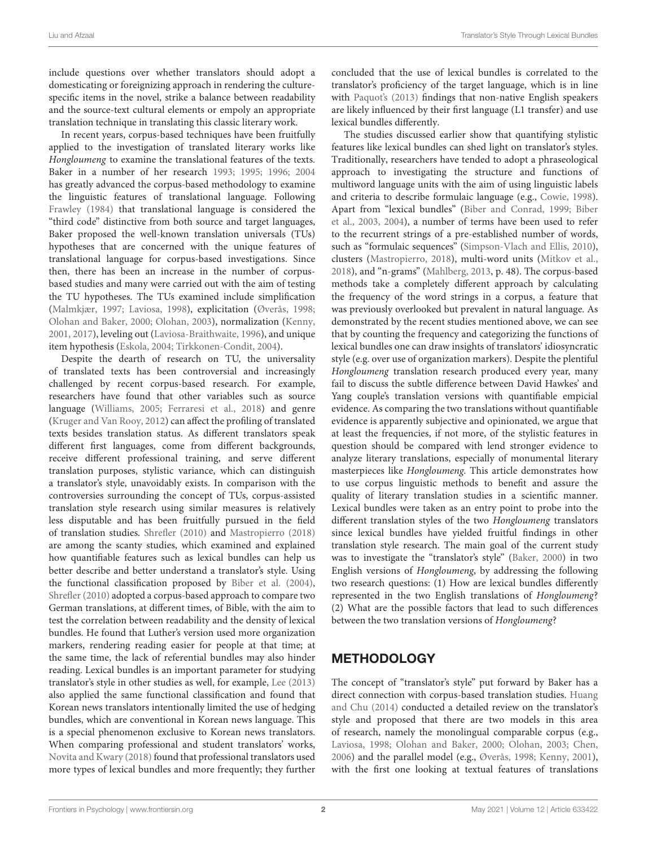include questions over whether translators should adopt a domesticating or foreignizing approach in rendering the culturespecific items in the novel, strike a balance between readability and the source-text cultural elements or empoly an appropriate translation technique in translating this classic literary work.

In recent years, corpus-based techniques have been fruitfully applied to the investigation of translated literary works like Hongloumeng to examine the translational features of the texts. Baker in a number of her research [1993;](#page-8-0) [1995;](#page-8-1) [1996;](#page-8-2) [2004](#page-8-3) has greatly advanced the corpus-based methodology to examine the linguistic features of translational language. Following [Frawley \(1984\)](#page-9-1) that translational language is considered the "third code" distinctive from both source and target languages, Baker proposed the well-known translation universals (TUs) hypotheses that are concerned with the unique features of translational language for corpus-based investigations. Since then, there has been an increase in the number of corpusbased studies and many were carried out with the aim of testing the TU hypotheses. The TUs examined include simplification [\(Malmkjær, 1997;](#page-9-2) [Laviosa, 1998\)](#page-9-3), explicitation [\(Øverås, 1998;](#page-9-4) [Olohan and Baker, 2000;](#page-9-5) [Olohan, 2003\)](#page-9-6), normalization [\(Kenny,](#page-9-7) [2001,](#page-9-7) [2017\)](#page-9-8), leveling out [\(Laviosa-Braithwaite, 1996\)](#page-9-9), and unique item hypothesis [\(Eskola, 2004;](#page-9-10) [Tirkkonen-Condit, 2004\)](#page-9-11).

Despite the dearth of research on TU, the universality of translated texts has been controversial and increasingly challenged by recent corpus-based research. For example, researchers have found that other variables such as source language [\(Williams, 2005;](#page-9-12) [Ferraresi et al., 2018\)](#page-9-13) and genre [\(Kruger and Van Rooy, 2012\)](#page-9-14) can affect the profiling of translated texts besides translation status. As different translators speak different first languages, come from different backgrounds, receive different professional training, and serve different translation purposes, stylistic variance, which can distinguish a translator's style, unavoidably exists. In comparison with the controversies surrounding the concept of TUs, corpus-assisted translation style research using similar measures is relatively less disputable and has been fruitfully pursued in the field of translation studies. [Shrefler \(2010\)](#page-9-15) and [Mastropierro \(2018\)](#page-9-16) are among the scanty studies, which examined and explained how quantifiable features such as lexical bundles can help us better describe and better understand a translator's style. Using the functional classification proposed by [Biber et al. \(2004\)](#page-9-0), [Shrefler \(2010\)](#page-9-15) adopted a corpus-based approach to compare two German translations, at different times, of Bible, with the aim to test the correlation between readability and the density of lexical bundles. He found that Luther's version used more organization markers, rendering reading easier for people at that time; at the same time, the lack of referential bundles may also hinder reading. Lexical bundles is an important parameter for studying translator's style in other studies as well, for example, [Lee \(2013\)](#page-9-17) also applied the same functional classification and found that Korean news translators intentionally limited the use of hedging bundles, which are conventional in Korean news language. This is a special phenomenon exclusive to Korean news translators. When comparing professional and student translators' works, [Novita and Kwary \(2018\)](#page-9-18) found that professional translators used more types of lexical bundles and more frequently; they further concluded that the use of lexical bundles is correlated to the translator's proficiency of the target language, which is in line with [Paquot's \(2013\)](#page-9-19) findings that non-native English speakers are likely influenced by their first language (L1 transfer) and use lexical bundles differently.

The studies discussed earlier show that quantifying stylistic features like lexical bundles can shed light on translator's styles. Traditionally, researchers have tended to adopt a phraseological approach to investigating the structure and functions of multiword language units with the aim of using linguistic labels and criteria to describe formulaic language (e.g., [Cowie, 1998\)](#page-9-20). Apart from "lexical bundles" [\(Biber and Conrad, 1999;](#page-9-21) Biber et al., [2003,](#page-9-22) [2004\)](#page-9-0), a number of terms have been used to refer to the recurrent strings of a pre-established number of words, such as "formulaic sequences" [\(Simpson-Vlach and Ellis, 2010\)](#page-9-23), clusters [\(Mastropierro, 2018\)](#page-9-16), multi-word units [\(Mitkov et al.,](#page-9-24) [2018\)](#page-9-24), and "n-grams" [\(Mahlberg, 2013,](#page-9-25) p. 48). The corpus-based methods take a completely different approach by calculating the frequency of the word strings in a corpus, a feature that was previously overlooked but prevalent in natural language. As demonstrated by the recent studies mentioned above, we can see that by counting the frequency and categorizing the functions of lexical bundles one can draw insights of translators' idiosyncratic style (e.g. over use of organization markers). Despite the plentiful Hongloumeng translation research produced every year, many fail to discuss the subtle difference between David Hawkes' and Yang couple's translation versions with quantifiable empicial evidence. As comparing the two translations without quantifiable evidence is apparently subjective and opinionated, we argue that at least the frequencies, if not more, of the stylistic features in question should be compared with lend stronger evidence to analyze literary translations, especially of monumental literary masterpieces like Hongloumeng. This article demonstrates how to use corpus linguistic methods to benefit and assure the quality of literary translation studies in a scientific manner. Lexical bundles were taken as an entry point to probe into the different translation styles of the two Hongloumeng translators since lexical bundles have yielded fruitful findings in other translation style research. The main goal of the current study was to investigate the "translator's style" [\(Baker, 2000\)](#page-8-4) in two English versions of Hongloumeng, by addressing the following two research questions: (1) How are lexical bundles differently represented in the two English translations of Hongloumeng? (2) What are the possible factors that lead to such differences between the two translation versions of Hongloumeng?

# **METHODOLOGY**

The concept of "translator's style" put forward by Baker has a direct connection with corpus-based translation studies. Huang and Chu [\(2014\)](#page-9-26) conducted a detailed review on the translator's style and proposed that there are two models in this area of research, namely the monolingual comparable corpus (e.g., [Laviosa, 1998;](#page-9-3) [Olohan and Baker, 2000;](#page-9-5) [Olohan, 2003;](#page-9-6) [Chen,](#page-9-27) [2006\)](#page-9-27) and the parallel model (e.g., [Øverås, 1998;](#page-9-4) [Kenny, 2001\)](#page-9-7), with the first one looking at textual features of translations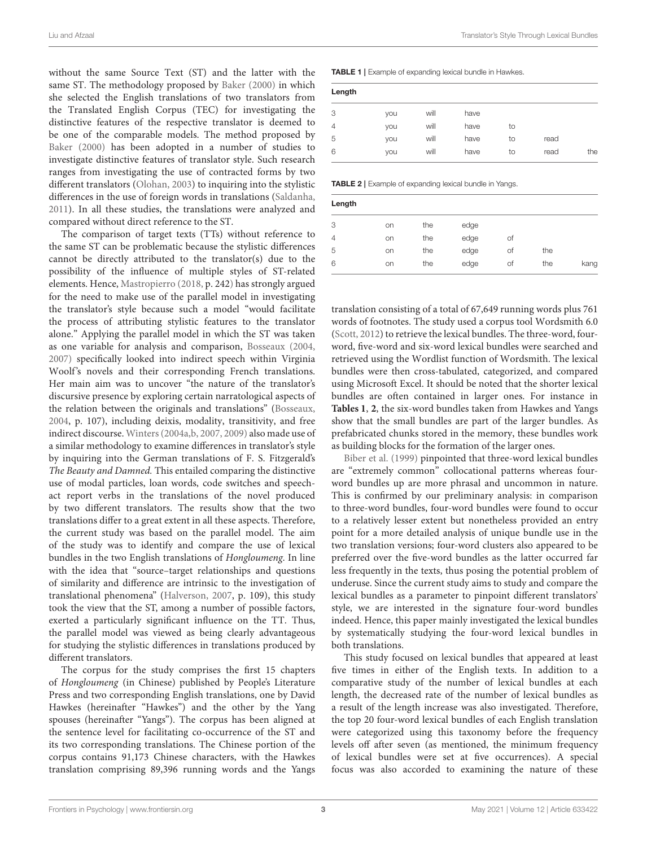Liu and Afzaal Translator's Style Through Lexical Bundles

without the same Source Text (ST) and the latter with the same ST. The methodology proposed by [Baker \(2000\)](#page-8-4) in which she selected the English translations of two translators from the Translated English Corpus (TEC) for investigating the distinctive features of the respective translator is deemed to be one of the comparable models. The method proposed by [Baker \(2000\)](#page-8-4) has been adopted in a number of studies to investigate distinctive features of translator style. Such research ranges from investigating the use of contracted forms by two different translators [\(Olohan, 2003\)](#page-9-6) to inquiring into the stylistic differences in the use of foreign words in translations [\(Saldanha,](#page-9-28) [2011\)](#page-9-28). In all these studies, the translations were analyzed and compared without direct reference to the ST.

The comparison of target texts (TTs) without reference to the same ST can be problematic because the stylistic differences cannot be directly attributed to the translator(s) due to the possibility of the influence of multiple styles of ST-related elements. Hence, [Mastropierro \(2018,](#page-9-16) p. 242) has strongly argued for the need to make use of the parallel model in investigating the translator's style because such a model "would facilitate the process of attributing stylistic features to the translator alone." Applying the parallel model in which the ST was taken as one variable for analysis and comparison, [Bosseaux \(2004,](#page-9-29) [2007\)](#page-9-30) specifically looked into indirect speech within Virginia Woolf's novels and their corresponding French translations. Her main aim was to uncover "the nature of the translator's discursive presence by exploring certain narratological aspects of the relation between the originals and translations" [\(Bosseaux,](#page-9-29) [2004,](#page-9-29) p. 107), including deixis, modality, transitivity, and free indirect discourse. [Winters \(2004a,](#page-9-31)[b,](#page-9-32) [2007,](#page-9-33) [2009\)](#page-9-34) also made use of a similar methodology to examine differences in translator's style by inquiring into the German translations of F. S. Fitzgerald's The Beauty and Damned. This entailed comparing the distinctive use of modal particles, loan words, code switches and speechact report verbs in the translations of the novel produced by two different translators. The results show that the two translations differ to a great extent in all these aspects. Therefore, the current study was based on the parallel model. The aim of the study was to identify and compare the use of lexical bundles in the two English translations of Hongloumeng. In line with the idea that "source–target relationships and questions of similarity and difference are intrinsic to the investigation of translational phenomena" [\(Halverson, 2007,](#page-9-35) p. 109), this study took the view that the ST, among a number of possible factors, exerted a particularly significant influence on the TT. Thus, the parallel model was viewed as being clearly advantageous for studying the stylistic differences in translations produced by different translators.

The corpus for the study comprises the first 15 chapters of Hongloumeng (in Chinese) published by People's Literature Press and two corresponding English translations, one by David Hawkes (hereinafter "Hawkes") and the other by the Yang spouses (hereinafter "Yangs"). The corpus has been aligned at the sentence level for facilitating co-occurrence of the ST and its two corresponding translations. The Chinese portion of the corpus contains 91,173 Chinese characters, with the Hawkes translation comprising 89,396 running words and the Yangs <span id="page-2-0"></span>TABLE 1 | Example of expanding lexical bundle in Hawkes.

| Length |     |      |      |    |      |     |
|--------|-----|------|------|----|------|-----|
| 3      | you | will | have |    |      |     |
| 4      | you | will | have | to |      |     |
| 5      | you | will | have | to | read |     |
| 6      | you | will | have | to | read | the |

<span id="page-2-1"></span>TABLE 2 | Example of expanding lexical bundle in Yangs.

| Length |    |     |      |    |     |      |
|--------|----|-----|------|----|-----|------|
| 3      | on | the | edge |    |     |      |
| 4      | on | the | edge | Οf |     |      |
| 5      | on | the | edge | of | the |      |
| 6      | on | the | edge | Οf | the | kang |

translation consisting of a total of 67,649 running words plus 761 words of footnotes. The study used a corpus tool Wordsmith 6.0 [\(Scott, 2012\)](#page-9-36) to retrieve the lexical bundles. The three-word, fourword, five-word and six-word lexical bundles were searched and retrieved using the Wordlist function of Wordsmith. The lexical bundles were then cross-tabulated, categorized, and compared using Microsoft Excel. It should be noted that the shorter lexical bundles are often contained in larger ones. For instance in **[Tables 1](#page-2-0)**, **[2](#page-2-1)**, the six-word bundles taken from Hawkes and Yangs show that the small bundles are part of the larger bundles. As prefabricated chunks stored in the memory, these bundles work as building blocks for the formation of the larger ones.

[Biber et al. \(1999\)](#page-9-37) pinpointed that three-word lexical bundles are "extremely common" collocational patterns whereas fourword bundles up are more phrasal and uncommon in nature. This is confirmed by our preliminary analysis: in comparison to three-word bundles, four-word bundles were found to occur to a relatively lesser extent but nonetheless provided an entry point for a more detailed analysis of unique bundle use in the two translation versions; four-word clusters also appeared to be preferred over the five-word bundles as the latter occurred far less frequently in the texts, thus posing the potential problem of underuse. Since the current study aims to study and compare the lexical bundles as a parameter to pinpoint different translators' style, we are interested in the signature four-word bundles indeed. Hence, this paper mainly investigated the lexical bundles by systematically studying the four-word lexical bundles in both translations.

This study focused on lexical bundles that appeared at least five times in either of the English texts. In addition to a comparative study of the number of lexical bundles at each length, the decreased rate of the number of lexical bundles as a result of the length increase was also investigated. Therefore, the top 20 four-word lexical bundles of each English translation were categorized using this taxonomy before the frequency levels off after seven (as mentioned, the minimum frequency of lexical bundles were set at five occurrences). A special focus was also accorded to examining the nature of these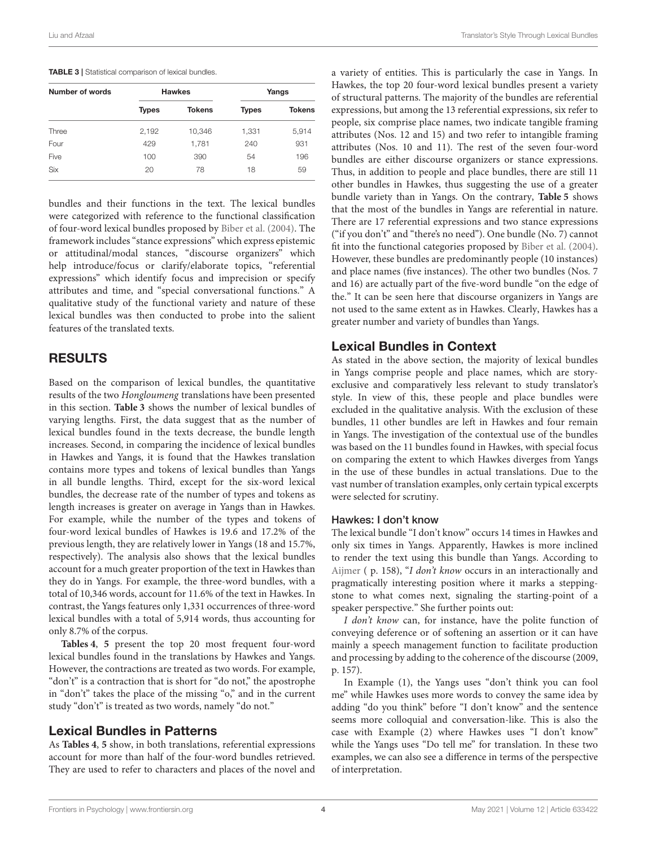<span id="page-3-0"></span>

| TABLE 3   Statistical comparison of lexical bundles. |  |
|------------------------------------------------------|--|
|------------------------------------------------------|--|

| Number of words |              | <b>Hawkes</b> | Yangs        |               |  |  |
|-----------------|--------------|---------------|--------------|---------------|--|--|
|                 | <b>Types</b> | <b>Tokens</b> | <b>Types</b> | <b>Tokens</b> |  |  |
| Three           | 2,192        | 10,346        | 1,331        | 5,914         |  |  |
| Four            | 429          | 1,781         | 240          | 931           |  |  |
| Five            | 100          | 390           | 54           | 196           |  |  |
| <b>Six</b>      | 20           | 78            | 18           | 59            |  |  |

bundles and their functions in the text. The lexical bundles were categorized with reference to the functional classification of four-word lexical bundles proposed by [Biber et al. \(2004\)](#page-9-0). The framework includes "stance expressions" which express epistemic or attitudinal/modal stances, "discourse organizers" which help introduce/focus or clarify/elaborate topics, "referential expressions" which identify focus and imprecision or specify attributes and time, and "special conversational functions." A qualitative study of the functional variety and nature of these lexical bundles was then conducted to probe into the salient features of the translated texts.

# RESULTS

Based on the comparison of lexical bundles, the quantitative results of the two Hongloumeng translations have been presented in this section. **[Table 3](#page-3-0)** shows the number of lexical bundles of varying lengths. First, the data suggest that as the number of lexical bundles found in the texts decrease, the bundle length increases. Second, in comparing the incidence of lexical bundles in Hawkes and Yangs, it is found that the Hawkes translation contains more types and tokens of lexical bundles than Yangs in all bundle lengths. Third, except for the six-word lexical bundles, the decrease rate of the number of types and tokens as length increases is greater on average in Yangs than in Hawkes. For example, while the number of the types and tokens of four-word lexical bundles of Hawkes is 19.6 and 17.2% of the previous length, they are relatively lower in Yangs (18 and 15.7%, respectively). The analysis also shows that the lexical bundles account for a much greater proportion of the text in Hawkes than they do in Yangs. For example, the three-word bundles, with a total of 10,346 words, account for 11.6% of the text in Hawkes. In contrast, the Yangs features only 1,331 occurrences of three-word lexical bundles with a total of 5,914 words, thus accounting for only 8.7% of the corpus.

**[Tables 4](#page-4-0)**, **[5](#page-5-0)** present the top 20 most frequent four-word lexical bundles found in the translations by Hawkes and Yangs. However, the contractions are treated as two words. For example, "don't" is a contraction that is short for "do not," the apostrophe in "don't" takes the place of the missing "o," and in the current study "don't" is treated as two words, namely "do not."

# Lexical Bundles in Patterns

As **[Tables 4](#page-4-0)**, **[5](#page-5-0)** show, in both translations, referential expressions account for more than half of the four-word bundles retrieved. They are used to refer to characters and places of the novel and

a variety of entities. This is particularly the case in Yangs. In Hawkes, the top 20 four-word lexical bundles present a variety of structural patterns. The majority of the bundles are referential expressions, but among the 13 referential expressions, six refer to people, six comprise place names, two indicate tangible framing attributes (Nos. 12 and 15) and two refer to intangible framing attributes (Nos. 10 and 11). The rest of the seven four-word bundles are either discourse organizers or stance expressions. Thus, in addition to people and place bundles, there are still 11 other bundles in Hawkes, thus suggesting the use of a greater bundle variety than in Yangs. On the contrary, **[Table 5](#page-5-0)** shows that the most of the bundles in Yangs are referential in nature. There are 17 referential expressions and two stance expressions ("if you don't" and "there's no need"). One bundle (No. 7) cannot fit into the functional categories proposed by [Biber et al. \(2004\)](#page-9-0). However, these bundles are predominantly people (10 instances) and place names (five instances). The other two bundles (Nos. 7 and 16) are actually part of the five-word bundle "on the edge of the." It can be seen here that discourse organizers in Yangs are not used to the same extent as in Hawkes. Clearly, Hawkes has a greater number and variety of bundles than Yangs.

# Lexical Bundles in Context

As stated in the above section, the majority of lexical bundles in Yangs comprise people and place names, which are storyexclusive and comparatively less relevant to study translator's style. In view of this, these people and place bundles were excluded in the qualitative analysis. With the exclusion of these bundles, 11 other bundles are left in Hawkes and four remain in Yangs. The investigation of the contextual use of the bundles was based on the 11 bundles found in Hawkes, with special focus on comparing the extent to which Hawkes diverges from Yangs in the use of these bundles in actual translations. Due to the vast number of translation examples, only certain typical excerpts were selected for scrutiny.

#### Hawkes: I don't know

The lexical bundle "I don't know" occurs 14 times in Hawkes and only six times in Yangs. Apparently, Hawkes is more inclined to render the text using this bundle than Yangs. According to [Aijmer](#page-8-5) (p. 158), "I don't know occurs in an interactionally and pragmatically interesting position where it marks a steppingstone to what comes next, signaling the starting-point of a speaker perspective." She further points out:

I don't know can, for instance, have the polite function of conveying deference or of softening an assertion or it can have mainly a speech management function to facilitate production and processing by adding to the coherence of the discourse (2009, p. 157).

In Example (1), the Yangs uses "don't think you can fool me" while Hawkes uses more words to convey the same idea by adding "do you think" before "I don't know" and the sentence seems more colloquial and conversation-like. This is also the case with Example (2) where Hawkes uses "I don't know" while the Yangs uses "Do tell me" for translation. In these two examples, we can also see a difference in terms of the perspective of interpretation.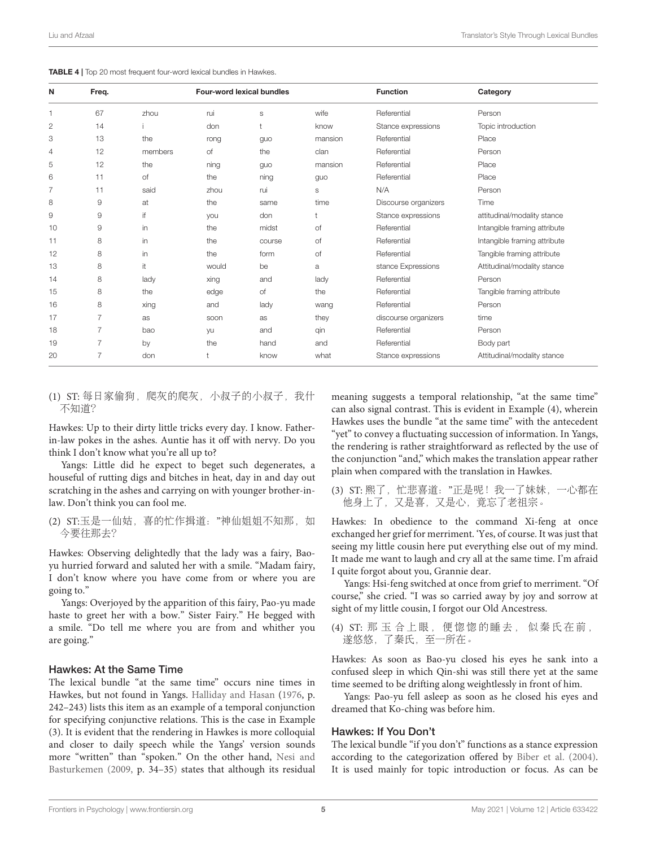<span id="page-4-0"></span>

|  |  |  |  |  |  |  | TABLE 4   Top 20 most frequent four-word lexical bundles in Hawkes. |
|--|--|--|--|--|--|--|---------------------------------------------------------------------|
|--|--|--|--|--|--|--|---------------------------------------------------------------------|

| N  | Freq.          |         | Four-word lexical bundles |             |         | <b>Function</b>      | Category                     |
|----|----------------|---------|---------------------------|-------------|---------|----------------------|------------------------------|
|    | 67             | zhou    | rui                       | $\mathbb S$ | wife    | Referential          | Person                       |
| 2  | 14             |         | don                       |             | know    | Stance expressions   | Topic introduction           |
| 3  | 13             | the     | rong                      | guo         | mansion | Referential          | Place                        |
| 4  | 12             | members | of                        | the         | clan    | Referential          | Person                       |
| 5  | 12             | the     | ning                      | guo         | mansion | Referential          | Place                        |
| 6  | 11             | of      | the                       | ning        | guo     | Referential          | Place                        |
| 7  | 11             | said    | zhou                      | rui         | S       | N/A                  | Person                       |
| 8  | 9              | at      | the                       | same        | time    | Discourse organizers | Time                         |
| 9  | 9              | if      | you                       | don         |         | Stance expressions   | attitudinal/modality stance  |
| 10 | $\mathsf 9$    | in      | the                       | midst       | of      | Referential          | Intangible framing attribute |
| 11 | 8              | in      | the                       | course      | of      | Referential          | Intangible framing attribute |
| 12 | 8              | in      | the                       | form        | of      | Referential          | Tangible framing attribute   |
| 13 | 8              | it      | would                     | be          | a       | stance Expressions   | Attitudinal/modality stance  |
| 14 | 8              | lady    | xing                      | and         | lady    | Referential          | Person                       |
| 15 | 8              | the     | edge                      | of          | the     | Referential          | Tangible framing attribute   |
| 16 | 8              | xing    | and                       | lady        | wang    | Referential          | Person                       |
| 17 | 7              | as      | soon                      | as          | they    | discourse organizers | time                         |
| 18 | $\overline{7}$ | bao     | yu                        | and         | qin     | Referential          | Person                       |
| 19 | 7              | by      | the                       | hand        | and     | Referential          | Body part                    |
| 20 | $\overline{7}$ | don     |                           | know        | what    | Stance expressions   | Attitudinal/modality stance  |

(1) ST: 每日家偷狗,爬灰的爬灰,小叔子的小叔子,我什 不知道?

Hawkes: Up to their dirty little tricks every day. I know. Fatherin-law pokes in the ashes. Auntie has it off with nervy. Do you think I don't know what you're all up to?

Yangs: Little did he expect to beget such degenerates, a houseful of rutting digs and bitches in heat, day in and day out scratching in the ashes and carrying on with younger brother-inlaw. Don't think you can fool me.

(2) ST:玉是一仙姑, 喜的忙作揖道: "神仙姐姐不知那, 如 今要往那去?

Hawkes: Observing delightedly that the lady was a fairy, Baoyu hurried forward and saluted her with a smile. "Madam fairy, I don't know where you have come from or where you are going to."

Yangs: Overjoyed by the apparition of this fairy, Pao-yu made haste to greet her with a bow." Sister Fairy." He begged with a smile. "Do tell me where you are from and whither you are going."

#### Hawkes: At the Same Time

The lexical bundle "at the same time" occurs nine times in Hawkes, but not found in Yangs. [Halliday and Hasan](#page-9-38) [\(1976,](#page-9-38) p. 242–243) lists this item as an example of a temporal conjunction for specifying conjunctive relations. This is the case in Example (3). It is evident that the rendering in Hawkes is more colloquial and closer to daily speech while the Yangs' version sounds more "written" than "spoken." On the other hand, Nesi and Basturkemen [\(2009,](#page-9-39) p. 34–35) states that although its residual

meaning suggests a temporal relationship, "at the same time" can also signal contrast. This is evident in Example (4), wherein Hawkes uses the bundle "at the same time" with the antecedent "yet" to convey a fluctuating succession of information. In Yangs, the rendering is rather straightforward as reflected by the use of the conjunction "and," which makes the translation appear rather plain when compared with the translation in Hawkes.

(3) ST: 熙了,忙悲喜道:"正是呢!我一了妹妹,一心都在 他身上了,又是喜,又是心,竟忘了老祖宗。

Hawkes: In obedience to the command Xi-feng at once exchanged her grief for merriment. 'Yes, of course. It was just that seeing my little cousin here put everything else out of my mind. It made me want to laugh and cry all at the same time. I'm afraid I quite forgot about you, Grannie dear.

Yangs: Hsi-feng switched at once from grief to merriment. "Of course," she cried. "I was so carried away by joy and sorrow at sight of my little cousin, I forgot our Old Ancestress.

```
(4) ST: 那 玉 合上眼,便惚惚的睡去, 似秦氏在前,
遂悠悠,了秦氏,至一所在。
```
Hawkes: As soon as Bao-yu closed his eyes he sank into a confused sleep in which Qin-shi was still there yet at the same time seemed to be drifting along weightlessly in front of him.

Yangs: Pao-yu fell asleep as soon as he closed his eyes and dreamed that Ko-ching was before him.

#### Hawkes: If You Don't

The lexical bundle "if you don't" functions as a stance expression according to the categorization offered by [Biber et al. \(2004\)](#page-9-0). It is used mainly for topic introduction or focus. As can be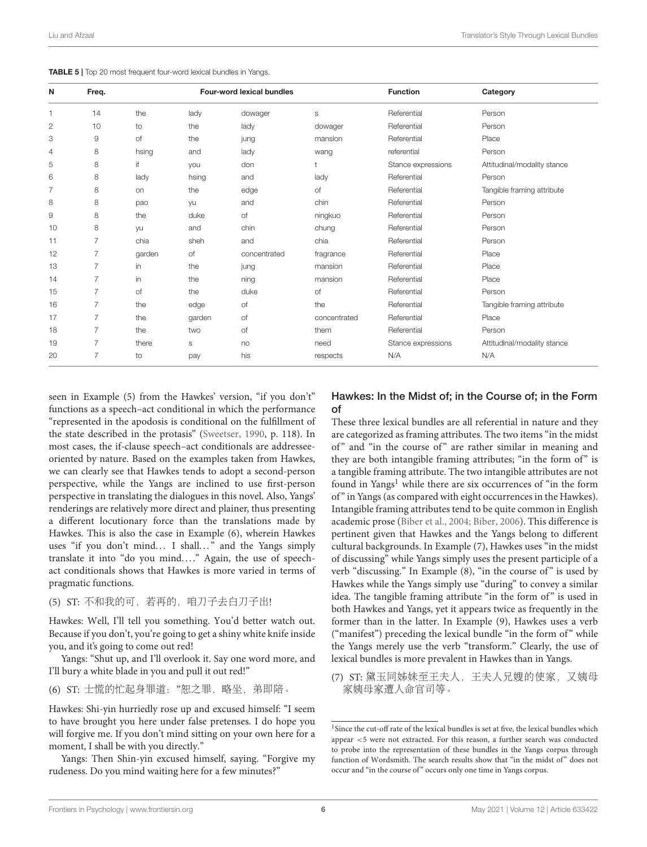<span id="page-5-0"></span>

| <b>TABLE 5</b>   Top 20 most frequent four-word lexical bundles in Yangs. |  |  |  |  |  |  |  |  |
|---------------------------------------------------------------------------|--|--|--|--|--|--|--|--|
|---------------------------------------------------------------------------|--|--|--|--|--|--|--|--|

| N  | Freq.          |        |        | Four-word lexical bundles |              | <b>Function</b>    | Category                    |
|----|----------------|--------|--------|---------------------------|--------------|--------------------|-----------------------------|
| 1  | 14             | the    | lady   | dowager                   | S            | Referential        | Person                      |
| 2  | 10             | to     | the    | lady                      | dowager      | Referential        | Person                      |
| 3  | 9              | of     | the    | jung                      | mansion      | Referential        | Place                       |
| 4  | 8              | hsing  | and    | lady                      | wang         | referential        | Person                      |
| 5  | 8              | if.    | you    | don                       | t            | Stance expressions | Attitudinal/modality stance |
| 6  | 8              | lady   | hsing  | and                       | lady         | Referential        | Person                      |
| 7  | 8              | on     | the    | edge                      | Οf           | Referential        | Tangible framing attribute  |
| 8  | 8              | pao    | yu     | and                       | chin         | Referential        | Person                      |
| 9  | 8              | the    | duke   | of                        | ningkuo      | Referential        | Person                      |
| 10 | 8              | yu     | and    | chin                      | chung        | Referential        | Person                      |
| 11 | 7              | chia   | sheh   | and                       | chia         | Referential        | Person                      |
| 12 |                | garden | of     | concentrated              | fragrance    | Referential        | Place                       |
| 13 | $\overline{7}$ | in     | the    | jung                      | mansion      | Referential        | Place                       |
| 14 | 7              | in     | the    | ning                      | mansion      | Referential        | Place                       |
| 15 | 7              | of     | the    | duke                      | of           | Referential        | Person                      |
| 16 | $\overline{7}$ | the    | edge   | of                        | the          | Referential        | Tangible framing attribute  |
| 17 | 7              | the    | garden | of                        | concentrated | Referential        | Place                       |
| 18 | 7              | the    | two    | of                        | them         | Referential        | Person                      |
| 19 | $\overline{7}$ | there  | S      | no                        | need         | Stance expressions | Attitudinal/modality stance |
| 20 | 7              | to     | pay    | his                       | respects     | N/A                | N/A                         |

seen in Example (5) from the Hawkes' version, "if you don't" functions as a speech–act conditional in which the performance "represented in the apodosis is conditional on the fulfillment of the state described in the protasis" [\(Sweetser, 1990,](#page-9-40) p. 118). In most cases, the if-clause speech–act conditionals are addresseeoriented by nature. Based on the examples taken from Hawkes, we can clearly see that Hawkes tends to adopt a second-person perspective, while the Yangs are inclined to use first-person perspective in translating the dialogues in this novel. Also, Yangs' renderings are relatively more direct and plainer, thus presenting a different locutionary force than the translations made by Hawkes. This is also the case in Example (6), wherein Hawkes uses "if you don't mind... I shall..." and the Yangs simply translate it into "do you mind...." Again, the use of speechact conditionals shows that Hawkes is more varied in terms of pragmatic functions.

## (5) ST: 不和我的可,若再的,咱刀子去白刀子出!

Hawkes: Well, I'll tell you something. You'd better watch out. Because if you don't, you're going to get a shiny white knife inside you, and it's going to come out red!

Yangs: "Shut up, and I'll overlook it. Say one word more, and I'll bury a white blade in you and pull it out red!"

(6) ST: 士慌的忙起身罪道:"恕之罪,略坐,弟即陪。

Hawkes: Shi-yin hurriedly rose up and excused himself: "I seem to have brought you here under false pretenses. I do hope you will forgive me. If you don't mind sitting on your own here for a moment, I shall be with you directly."

Yangs: Then Shin-yin excused himself, saying. "Forgive my rudeness. Do you mind waiting here for a few minutes?"

## Hawkes: In the Midst of; in the Course of; in the Form of

These three lexical bundles are all referential in nature and they are categorized as framing attributes. The two items "in the midst of" and "in the course of" are rather similar in meaning and they are both intangible framing attributes; "in the form of" is a tangible framing attribute. The two intangible attributes are not found in Yangs<sup>[1](#page-5-1)</sup> while there are six occurrences of "in the form of" in Yangs (as compared with eight occurrences in the Hawkes). Intangible framing attributes tend to be quite common in English academic prose [\(Biber et al., 2004;](#page-9-0) [Biber, 2006\)](#page-8-6). This difference is pertinent given that Hawkes and the Yangs belong to different cultural backgrounds. In Example (7), Hawkes uses "in the midst of discussing" while Yangs simply uses the present participle of a verb "discussing." In Example (8), "in the course of" is used by Hawkes while the Yangs simply use "during" to convey a similar idea. The tangible framing attribute "in the form of" is used in both Hawkes and Yangs, yet it appears twice as frequently in the former than in the latter. In Example (9), Hawkes uses a verb ("manifest") preceding the lexical bundle "in the form of" while the Yangs merely use the verb "transform." Clearly, the use of lexical bundles is more prevalent in Hawkes than in Yangs.

(7) ST: 黛玉同姊妹至王夫人,王夫人兄嫂的使家,又姨母 家姨母家遭人命官司等。

<span id="page-5-1"></span><sup>&</sup>lt;sup>1</sup>Since the cut-off rate of the lexical bundles is set at five, the lexical bundles which appear <5 were not extracted. For this reason, a further search was conducted to probe into the representation of these bundles in the Yangs corpus through function of Wordsmith. The search results show that "in the midst of" does not occur and "in the course of" occurs only one time in Yangs corpus.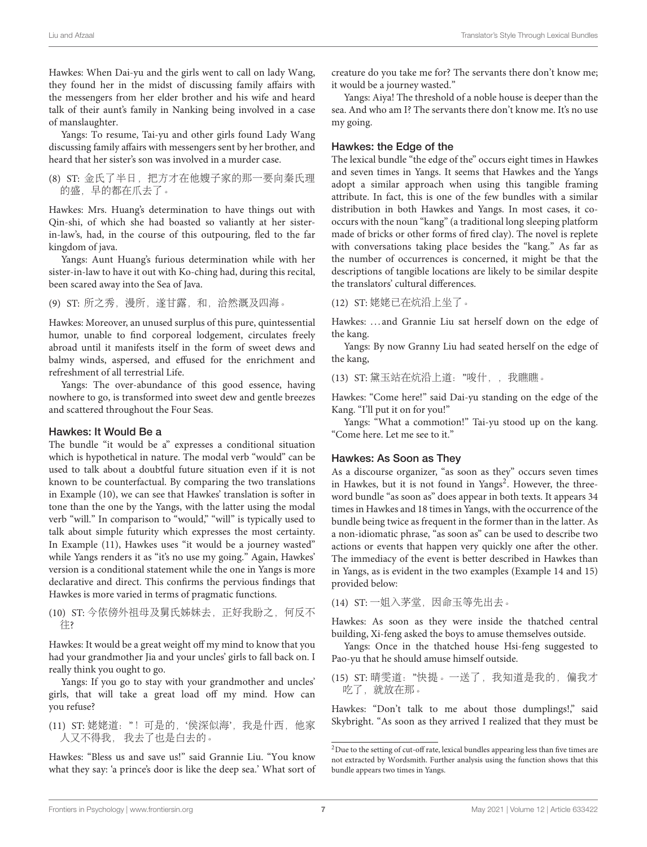Hawkes: When Dai-yu and the girls went to call on lady Wang, they found her in the midst of discussing family affairs with the messengers from her elder brother and his wife and heard talk of their aunt's family in Nanking being involved in a case of manslaughter.

Yangs: To resume, Tai-yu and other girls found Lady Wang discussing family affairs with messengers sent by her brother, and heard that her sister's son was involved in a murder case.

(8) ST: 金氏了半日,把方才在他嫂子家的那一要向秦氏理 的盛,早的都在爪去了。

Hawkes: Mrs. Huang's determination to have things out with Qin-shi, of which she had boasted so valiantly at her sisterin-law's, had, in the course of this outpouring, fled to the far kingdom of java.

Yangs: Aunt Huang's furious determination while with her sister-in-law to have it out with Ko-ching had, during this recital, been scared away into the Sea of Java.

(9) ST: 所之秀,漫所,遂甘露,和,洽然溉及四海。

Hawkes: Moreover, an unused surplus of this pure, quintessential humor, unable to find corporeal lodgement, circulates freely abroad until it manifests itself in the form of sweet dews and balmy winds, aspersed, and effused for the enrichment and refreshment of all terrestrial Life.

Yangs: The over-abundance of this good essence, having nowhere to go, is transformed into sweet dew and gentle breezes and scattered throughout the Four Seas.

#### Hawkes: It Would Be a

The bundle "it would be a" expresses a conditional situation which is hypothetical in nature. The modal verb "would" can be used to talk about a doubtful future situation even if it is not known to be counterfactual. By comparing the two translations in Example (10), we can see that Hawkes' translation is softer in tone than the one by the Yangs, with the latter using the modal verb "will." In comparison to "would," "will" is typically used to talk about simple futurity which expresses the most certainty. In Example (11), Hawkes uses "it would be a journey wasted" while Yangs renders it as "it's no use my going." Again, Hawkes' version is a conditional statement while the one in Yangs is more declarative and direct. This confirms the pervious findings that Hawkes is more varied in terms of pragmatic functions.

(10) ST: 今依傍外祖母及舅氏姊妹去,正好我盼之,何反不 往?

Hawkes: It would be a great weight off my mind to know that you had your grandmother Jia and your uncles' girls to fall back on. I really think you ought to go.

Yangs: If you go to stay with your grandmother and uncles' girls, that will take a great load off my mind. How can you refuse?

(11) ST: 姥姥道:"!可是的,'侯深似海',我是什西,他家 人又不得我, 我去了也是白去的。

Hawkes: "Bless us and save us!" said Grannie Liu. "You know what they say: 'a prince's door is like the deep sea.' What sort of creature do you take me for? The servants there don't know me; it would be a journey wasted."

Yangs: Aiya! The threshold of a noble house is deeper than the sea. And who am I? The servants there don't know me. It's no use my going.

## Hawkes: the Edge of the

The lexical bundle "the edge of the" occurs eight times in Hawkes and seven times in Yangs. It seems that Hawkes and the Yangs adopt a similar approach when using this tangible framing attribute. In fact, this is one of the few bundles with a similar distribution in both Hawkes and Yangs. In most cases, it cooccurs with the noun "kang" (a traditional long sleeping platform made of bricks or other forms of fired clay). The novel is replete with conversations taking place besides the "kang." As far as the number of occurrences is concerned, it might be that the descriptions of tangible locations are likely to be similar despite the translators' cultural differences.

#### (12) ST: 姥姥已在炕沿上坐了。

Hawkes: ... and Grannie Liu sat herself down on the edge of the kang.

Yangs: By now Granny Liu had seated herself on the edge of the kang,

(13) ST: 黛玉站在炕沿上道:"唆什,,我瞧瞧。

Hawkes: "Come here!" said Dai-yu standing on the edge of the Kang. "I'll put it on for you!"

Yangs: "What a commotion!" Tai-yu stood up on the kang. "Come here. Let me see to it."

#### Hawkes: As Soon as They

As a discourse organizer, "as soon as they" occurs seven times in Hawkes, but it is not found in Yangs<sup>[2](#page-6-0)</sup>. However, the threeword bundle "as soon as" does appear in both texts. It appears 34 times in Hawkes and 18 times in Yangs, with the occurrence of the bundle being twice as frequent in the former than in the latter. As a non-idiomatic phrase, "as soon as" can be used to describe two actions or events that happen very quickly one after the other. The immediacy of the event is better described in Hawkes than in Yangs, as is evident in the two examples (Example 14 and 15) provided below:

(14) ST: 一姐入茅堂, 因命玉等先出去。

Hawkes: As soon as they were inside the thatched central building, Xi-feng asked the boys to amuse themselves outside.

Yangs: Once in the thatched house Hsi-feng suggested to Pao-yu that he should amuse himself outside.

(15) ST: 晴雯道:"快提。一送了,我知道是我的,偏我才 吃了,就放在那。

Hawkes: "Don't talk to me about those dumplings!," said Skybright. "As soon as they arrived I realized that they must be

<span id="page-6-0"></span> $^2\rm{Due}$  to the setting of cut-off rate, lexical bundles appearing less than five times are not extracted by Wordsmith. Further analysis using the function shows that this bundle appears two times in Yangs.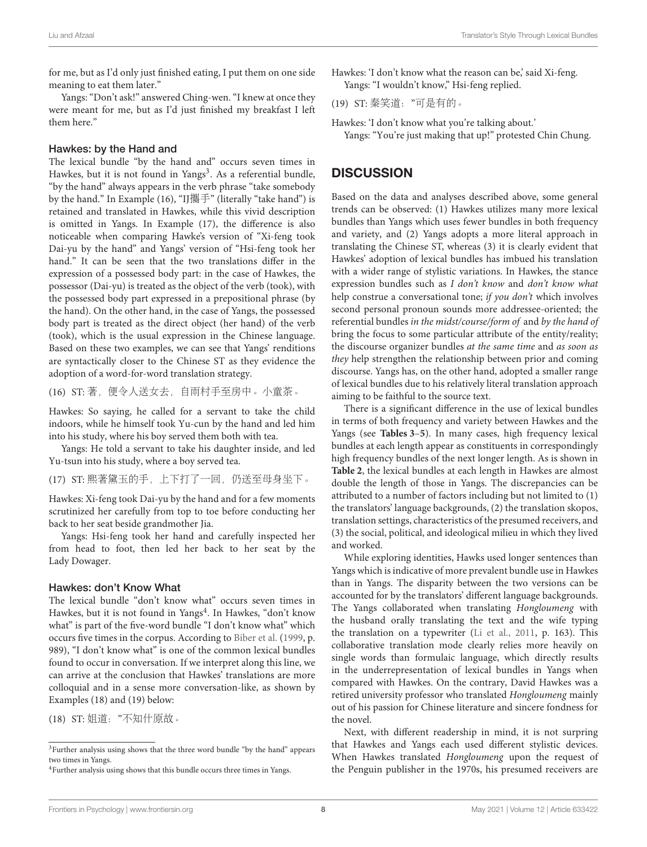for me, but as I'd only just finished eating, I put them on one side meaning to eat them later."

Yangs: "Don't ask!" answered Ching-wen. "I knew at once they were meant for me, but as I'd just finished my breakfast I left them here."

### Hawkes: by the Hand and

The lexical bundle "by the hand and" occurs seven times in Hawkes, but it is not found in Yangs<sup>[3](#page-7-0)</sup>. As a referential bundle, "by the hand" always appears in the verb phrase "take somebody by the hand." In Example (16), "IJ攜手" (literally "take hand") is retained and translated in Hawkes, while this vivid description is omitted in Yangs. In Example (17), the difference is also noticeable when comparing Hawke's version of "Xi-feng took Dai-yu by the hand" and Yangs' version of "Hsi-feng took her hand." It can be seen that the two translations differ in the expression of a possessed body part: in the case of Hawkes, the possessor (Dai-yu) is treated as the object of the verb (took), with the possessed body part expressed in a prepositional phrase (by the hand). On the other hand, in the case of Yangs, the possessed body part is treated as the direct object (her hand) of the verb (took), which is the usual expression in the Chinese language. Based on these two examples, we can see that Yangs' renditions are syntactically closer to the Chinese ST as they evidence the adoption of a word-for-word translation strategy.

(16) ST: 著,便令人送女去,自雨村手至房中。小童茶。

Hawkes: So saying, he called for a servant to take the child indoors, while he himself took Yu-cun by the hand and led him into his study, where his boy served them both with tea.

Yangs: He told a servant to take his daughter inside, and led Yu-tsun into his study, where a boy served tea.

(17) ST: 熙著黛玉的手,上下打了一回,仍送至母身坐下。

Hawkes: Xi-feng took Dai-yu by the hand and for a few moments scrutinized her carefully from top to toe before conducting her back to her seat beside grandmother Jia.

Yangs: Hsi-feng took her hand and carefully inspected her from head to foot, then led her back to her seat by the Lady Dowager.

#### Hawkes: don't Know What

The lexical bundle "don't know what" occurs seven times in Hawkes, but it is not found in Yangs<sup>[4](#page-7-1)</sup>. In Hawkes, "don't know what" is part of the five-word bundle "I don't know what" which occurs five times in the corpus. According to [Biber et al.](#page-9-37) [\(1999,](#page-9-37) p. 989), "I don't know what" is one of the common lexical bundles found to occur in conversation. If we interpret along this line, we can arrive at the conclusion that Hawkes' translations are more colloquial and in a sense more conversation-like, as shown by Examples (18) and (19) below:

(18) ST: 姐道:"不知什原故。

Hawkes: 'I don't know what the reason can be,' said Xi-feng. Yangs: "I wouldn't know," Hsi-feng replied.

(19) ST: 秦笑道:"可是有的。

Hawkes: 'I don't know what you're talking about.' Yangs: "You're just making that up!" protested Chin Chung.

# **DISCUSSION**

Based on the data and analyses described above, some general trends can be observed: (1) Hawkes utilizes many more lexical bundles than Yangs which uses fewer bundles in both frequency and variety, and (2) Yangs adopts a more literal approach in translating the Chinese ST, whereas (3) it is clearly evident that Hawkes' adoption of lexical bundles has imbued his translation with a wider range of stylistic variations. In Hawkes, the stance expression bundles such as I don't know and don't know what help construe a conversational tone; if you don't which involves second personal pronoun sounds more addressee-oriented; the referential bundles in the midst/course/form of and by the hand of bring the focus to some particular attribute of the entity/reality; the discourse organizer bundles at the same time and as soon as they help strengthen the relationship between prior and coming discourse. Yangs has, on the other hand, adopted a smaller range of lexical bundles due to his relatively literal translation approach aiming to be faithful to the source text.

There is a significant difference in the use of lexical bundles in terms of both frequency and variety between Hawkes and the Yangs (see **[Tables 3](#page-3-0)**–**[5](#page-5-0)**). In many cases, high frequency lexical bundles at each length appear as constituents in correspondingly high frequency bundles of the next longer length. As is shown in **[Table 2](#page-2-1)**, the lexical bundles at each length in Hawkes are almost double the length of those in Yangs. The discrepancies can be attributed to a number of factors including but not limited to (1) the translators' language backgrounds, (2) the translation skopos, translation settings, characteristics of the presumed receivers, and (3) the social, political, and ideological milieu in which they lived and worked.

While exploring identities, Hawks used longer sentences than Yangs which is indicative of more prevalent bundle use in Hawkes than in Yangs. The disparity between the two versions can be accounted for by the translators' different language backgrounds. The Yangs collaborated when translating Hongloumeng with the husband orally translating the text and the wife typing the translation on a typewriter [\(Li et al., 2011,](#page-9-41) p. 163). This collaborative translation mode clearly relies more heavily on single words than formulaic language, which directly results in the underrepresentation of lexical bundles in Yangs when compared with Hawkes. On the contrary, David Hawkes was a retired university professor who translated Hongloumeng mainly out of his passion for Chinese literature and sincere fondness for the novel.

Next, with different readership in mind, it is not surpring that Hawkes and Yangs each used different stylistic devices. When Hawkes translated Hongloumeng upon the request of the Penguin publisher in the 1970s, his presumed receivers are

<span id="page-7-0"></span><sup>&</sup>lt;sup>3</sup>Further analysis using shows that the three word bundle "by the hand" appears two times in Yangs.

<span id="page-7-1"></span><sup>4</sup>Further analysis using shows that this bundle occurs three times in Yangs.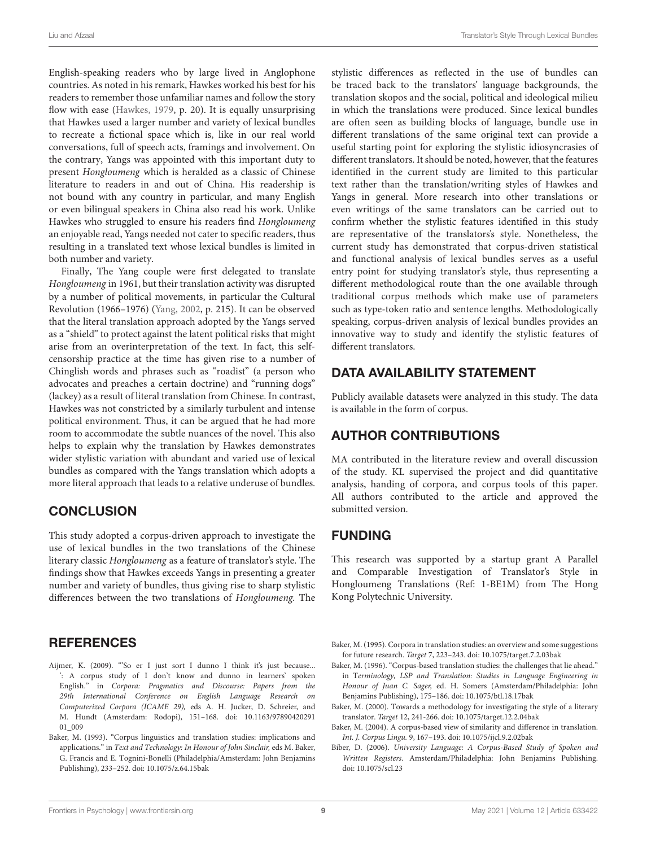English-speaking readers who by large lived in Anglophone countries. As noted in his remark, Hawkes worked his best for his readers to remember those unfamiliar names and follow the story flow with ease [\(Hawkes, 1979,](#page-9-42) p. 20). It is equally unsurprising that Hawkes used a larger number and variety of lexical bundles to recreate a fictional space which is, like in our real world conversations, full of speech acts, framings and involvement. On the contrary, Yangs was appointed with this important duty to present Hongloumeng which is heralded as a classic of Chinese literature to readers in and out of China. His readership is not bound with any country in particular, and many English or even bilingual speakers in China also read his work. Unlike Hawkes who struggled to ensure his readers find Hongloumeng an enjoyable read, Yangs needed not cater to specific readers, thus resulting in a translated text whose lexical bundles is limited in both number and variety.

Finally, The Yang couple were first delegated to translate Hongloumeng in 1961, but their translation activity was disrupted by a number of political movements, in particular the Cultural Revolution (1966–1976) [\(Yang, 2002,](#page-9-43) p. 215). It can be observed that the literal translation approach adopted by the Yangs served as a "shield" to protect against the latent political risks that might arise from an overinterpretation of the text. In fact, this selfcensorship practice at the time has given rise to a number of Chinglish words and phrases such as "roadist" (a person who advocates and preaches a certain doctrine) and "running dogs" (lackey) as a result of literal translation from Chinese. In contrast, Hawkes was not constricted by a similarly turbulent and intense political environment. Thus, it can be argued that he had more room to accommodate the subtle nuances of the novel. This also helps to explain why the translation by Hawkes demonstrates wider stylistic variation with abundant and varied use of lexical bundles as compared with the Yangs translation which adopts a more literal approach that leads to a relative underuse of bundles.

# **CONCLUSION**

This study adopted a corpus-driven approach to investigate the use of lexical bundles in the two translations of the Chinese literary classic Hongloumeng as a feature of translator's style. The findings show that Hawkes exceeds Yangs in presenting a greater number and variety of bundles, thus giving rise to sharp stylistic differences between the two translations of Hongloumeng. The

# **REFERENCES**

- <span id="page-8-5"></span>Aijmer, K. (2009). "'So er I just sort I dunno I think it's just because... ': A corpus study of I don't know and dunno in learners' spoken English." in Corpora: Pragmatics and Discourse: Papers from the 29th International Conference on English Language Research on Computerized Corpora (ICAME 29), eds A. H. Jucker, D. Schreier, and [M. Hundt \(Amsterdam: Rodopi\), 151–168. doi: 10.1163/97890420291](https://doi.org/10.1163/9789042029101_009) 01\_009
- <span id="page-8-0"></span>Baker, M. (1993). "Corpus linguistics and translation studies: implications and applications." in Text and Technology: In Honour of John Sinclair, eds M. Baker, G. Francis and E. Tognini-Bonelli (Philadelphia/Amsterdam: John Benjamins Publishing), 233–252. doi: [10.1075/z.64.15bak](https://doi.org/10.1075/z.64.15bak)

stylistic differences as reflected in the use of bundles can be traced back to the translators' language backgrounds, the translation skopos and the social, political and ideological milieu in which the translations were produced. Since lexical bundles are often seen as building blocks of language, bundle use in different translations of the same original text can provide a useful starting point for exploring the stylistic idiosyncrasies of different translators. It should be noted, however, that the features identified in the current study are limited to this particular text rather than the translation/writing styles of Hawkes and Yangs in general. More research into other translations or even writings of the same translators can be carried out to confirm whether the stylistic features identified in this study are representative of the translators's style. Nonetheless, the current study has demonstrated that corpus-driven statistical and functional analysis of lexical bundles serves as a useful entry point for studying translator's style, thus representing a different methodological route than the one available through traditional corpus methods which make use of parameters such as type-token ratio and sentence lengths. Methodologically speaking, corpus-driven analysis of lexical bundles provides an innovative way to study and identify the stylistic features of different translators.

# DATA AVAILABILITY STATEMENT

Publicly available datasets were analyzed in this study. The data is available in the form of corpus.

# AUTHOR CONTRIBUTIONS

MA contributed in the literature review and overall discussion of the study. KL supervised the project and did quantitative analysis, handing of corpora, and corpus tools of this paper. All authors contributed to the article and approved the submitted version.

# FUNDING

This research was supported by a startup grant A Parallel and Comparable Investigation of Translator's Style in Hongloumeng Translations (Ref: 1-BE1M) from The Hong Kong Polytechnic University.

- <span id="page-8-1"></span>Baker, M. (1995). Corpora in translation studies: an overview and some suggestions for future research. Target 7, 223–243. doi: [10.1075/target.7.2.03bak](https://doi.org/10.1075/target.7.2.03bak)
- <span id="page-8-2"></span>Baker, M. (1996). "Corpus-based translation studies: the challenges that lie ahead." in Terminology, LSP and Translation: Studies in Language Engineering in Honour of Juan C. Sager, ed. H. Somers (Amsterdam/Philadelphia: John Benjamins Publishing), 175–186. doi: [10.1075/btl.18.17bak](https://doi.org/10.1075/btl.18.17bak)
- <span id="page-8-4"></span>Baker, M. (2000). Towards a methodology for investigating the style of a literary translator. Target 12, 241-266. doi: [10.1075/target.12.2.04bak](https://doi.org/10.1075/target.12.2.04bak)
- <span id="page-8-3"></span>Baker, M. (2004). A corpus-based view of similarity and difference in translation. Int. J. Corpus Lingu. 9, 167–193. doi: [10.1075/ijcl.9.2.02bak](https://doi.org/10.1075/ijcl.9.2.02bak)
- <span id="page-8-6"></span>Biber, D. (2006). University Language: A Corpus-Based Study of Spoken and Written Registers. Amsterdam/Philadelphia: John Benjamins Publishing. doi: [10.1075/scl.23](https://doi.org/10.1075/scl.23)